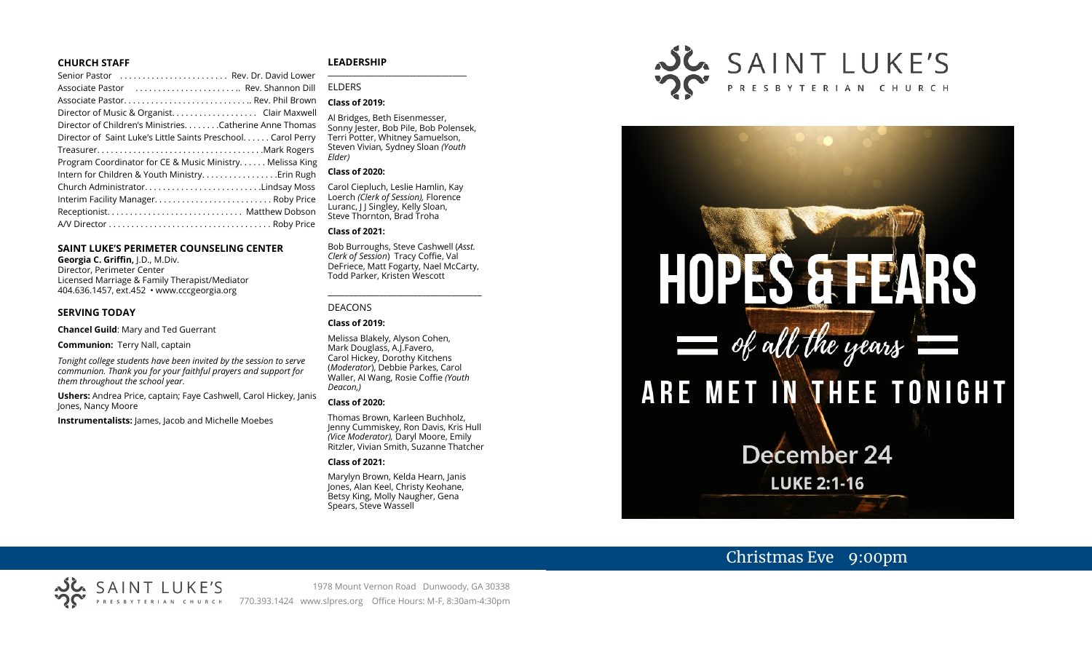### **CHURCH STAFF**

| Senior Pastor (all contained all contracts contained all contracts Rev. Dr. David Lower |  |
|-----------------------------------------------------------------------------------------|--|
|                                                                                         |  |
|                                                                                         |  |
| Director of Music & Organist. Clair Maxwell                                             |  |
| Director of Children's MinistriesCatherine Anne Thomas                                  |  |
| Director of Saint Luke's Little Saints Preschool Carol Perry                            |  |
|                                                                                         |  |
| Program Coordinator for CE & Music Ministry Melissa King                                |  |
|                                                                                         |  |
|                                                                                         |  |
|                                                                                         |  |
|                                                                                         |  |
|                                                                                         |  |
|                                                                                         |  |

## **SAINT LUKE'S PERIMETER COUNSELING CENTER**

**Georgia C. Griffin,** J.D., M.Div. Director, Perimeter Center Licensed Marriage & Family Therapist/Mediator 404.636.1457, ext.452 • www.cccgeorgia.org

#### **SERVING TODAY**

**Chancel Guild**: Mary and Ted Guerrant

**Communion:** Terry Nall, captain

*Tonight college students have been invited by the session to serve communion. Thank you for your faithful prayers and support for them throughout the school year.*

**Ushers:** Andrea Price, captain; Faye Cashwell, Carol Hickey, Janis Jones, Nancy Moore

**Instrumentalists:** James, Jacob and Michelle Moebes

### **LEADERSHIP**

# ELDERS

## **Class of 2019:**

Al Bridges, Beth Eisenmesser, Sonny Jester, Bob Pile, Bob Polensek, Terri Potter, Whitney Samuelson, Steven Vivian*,* Sydney Sloan *(Youth Elder)*

**\_\_\_\_\_\_\_\_\_\_\_\_\_\_\_\_\_\_\_\_\_\_\_\_\_\_\_\_\_\_\_\_\_\_\_\_\_\_\_**

#### **Class of 2020:**

Carol Ciepluch, Leslie Hamlin, Kay Loerch *(Clerk of Session),* Florence Luranc, J J Singley, Kelly Sloan, Steve Thornton, Brad Troha

#### **Class of 2021:**

Bob Burroughs, Steve Cashwell (*Asst. Clerk of Session*) Tracy Coffie, Val DeFriece, Matt Fogarty, Nael McCarty, Todd Parker, Kristen Wescott

\_\_\_\_\_\_\_\_\_\_\_\_\_\_\_\_\_\_\_\_\_\_\_\_\_\_\_\_\_\_\_\_\_\_\_\_

#### DEACONS

**Class of 2019:**

Melissa Blakely, Alyson Cohen, Mark Douglass, A.J.Favero, Carol Hickey, Dorothy Kitchens (*Moderator*), Debbie Parkes, Carol Waller, Al Wang, Rosie Coffie *(Youth Deacon,)* 

#### **Class of 2020:**

Thomas Brown, Karleen Buchholz, Jenny Cummiskey, Ron Davis, Kris Hull *(Vice Moderator),* Daryl Moore, Emily Ritzler, Vivian Smith, Suzanne Thatcher

#### **Class of 2021:**

Marylyn Brown, Kelda Hearn, Janis Jones, Alan Keel, Christy Keohane, Betsy King, Molly Naugher, Gena Spears, Steve Wassell





# Christmas Eve 9:00pm

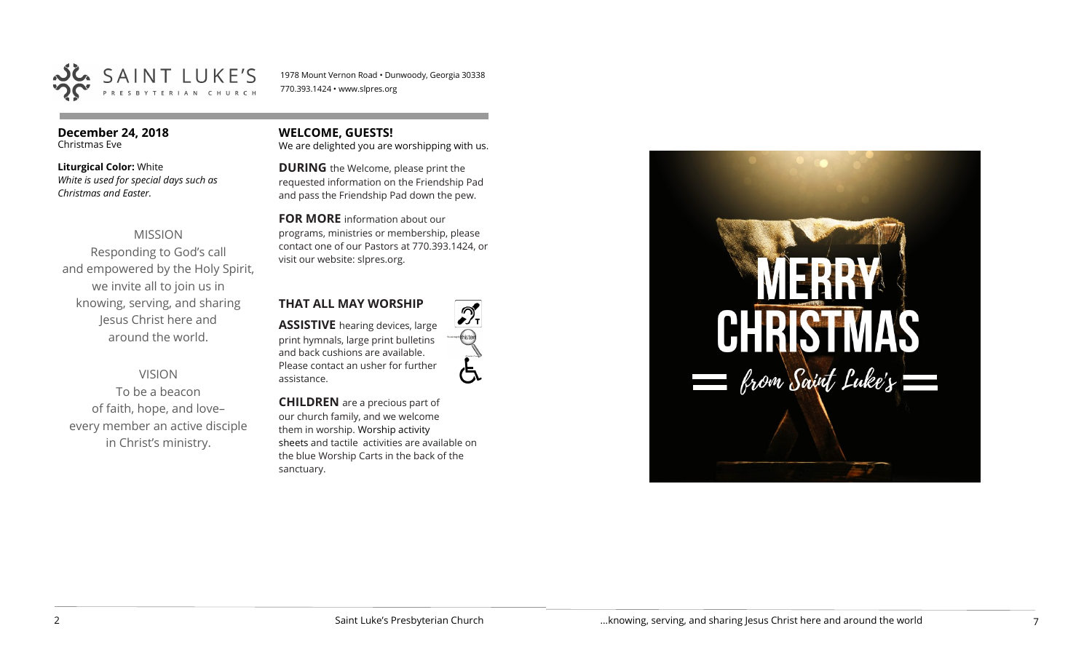

1978 Mount Vernon Road • Dunwoody, Georgia 30338 770.393.1424 • www.slpres.org

**December 24, 2018**  Christmas Eve

# **Liturgical Color:** White

*White is used for special days such as Christmas and Easter.* 

# MISSION

Responding to God's call and empowered by the Holy Spirit, we invite all to join us in knowing, serving, and sharing Jesus Christ here and around the world.

## VISION

To be a beacon of faith, hope, and love– every member an active disciple in Christ's ministry.

# **WELCOME, GUESTS!**

We are delighted you are worshipping with us.

**DURING** the Welcome, please print the requested information on the Friendship Pad and pass the Friendship Pad down the pew.

## **FOR MORE** information about our

programs, ministries or membership, please contact one of our Pastors at 770.393.1424, or visit our website: slpres.org.

## **THAT ALL MAY WORSHIP**

**ASSISTIVE** hearing devices, large print hymnals, large print bulletins and back cushions are available. Please contact an usher for further assistance.



**CHILDREN** are a precious part of our church family, and we welcome them in worship. Worship activity sheets and tactile activities are available on the blue Worship Carts in the back of the sanctuary.

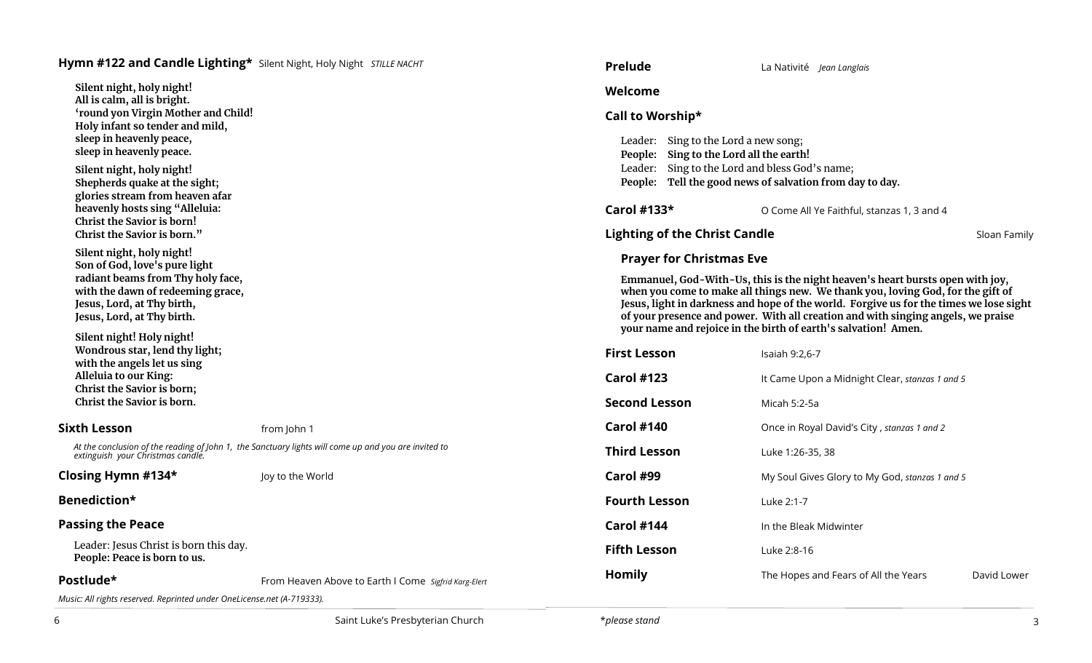# **Hymn #122 and Candle Lighting\*** Silent Night, Holy Night *STILLE NACHT*

**Silent night, holy night! All is calm, all is bright. 'round yon Virgin Mother and Child! Holy infant so tender and mild, sleep in heavenly peace, sleep in heavenly peace.** 

**Silent night, holy night! Shepherds quake at the sight; glories stream from heaven afar heavenly hosts sing "Alleluia: Christ the Savior is born! Christ the Savior is born."** 

**Silent night, holy night! Son of God, love's pure light radiant beams from Thy holy face, with the dawn of redeeming grace, Jesus, Lord, at Thy birth, Jesus, Lord, at Thy birth.**

**Silent night! Holy night! Wondrous star, lend thy light; with the angels let us sing Alleluia to our King: Christ the Savior is born; Christ the Savior is born.**

## **Sixth Lesson** from John 1

*At the conclusion of the reading of John 1, the Sanctuary lights will come up and you are invited to extinguish your Christmas candle.*

## **Closing Hymn #134\*** Joy to the World

# **Benediction\***

## **Passing the Peace**

Leader: Jesus Christ is born this day. **People: Peace is born to us.**

**Postlude\*** From Heaven Above to Earth I Come *Sigfrid Karg-Elert*

*Music: All rights reserved. Reprinted under OneLicense.net (A-719333).* 

| <b>Prelude</b>       |                                                                                                                                                                                               | La Nativité Jean Langlais |                                                                                                                                                                                                                                                                                                                                 |              |
|----------------------|-----------------------------------------------------------------------------------------------------------------------------------------------------------------------------------------------|---------------------------|---------------------------------------------------------------------------------------------------------------------------------------------------------------------------------------------------------------------------------------------------------------------------------------------------------------------------------|--------------|
| Welcome              |                                                                                                                                                                                               |                           |                                                                                                                                                                                                                                                                                                                                 |              |
| Call to Worship*     |                                                                                                                                                                                               |                           |                                                                                                                                                                                                                                                                                                                                 |              |
|                      | Leader: Sing to the Lord a new song;<br>People: Sing to the Lord all the earth!<br>Leader: Sing to the Lord and bless God's name;<br>People: Tell the good news of salvation from day to day. |                           |                                                                                                                                                                                                                                                                                                                                 |              |
| Carol #133*          |                                                                                                                                                                                               |                           | O Come All Ye Faithful, stanzas 1, 3 and 4                                                                                                                                                                                                                                                                                      |              |
|                      | <b>Lighting of the Christ Candle</b>                                                                                                                                                          |                           |                                                                                                                                                                                                                                                                                                                                 | Sloan Family |
|                      | <b>Prayer for Christmas Eve</b>                                                                                                                                                               |                           |                                                                                                                                                                                                                                                                                                                                 |              |
| <b>First Lesson</b>  |                                                                                                                                                                                               | Isaiah 9:2,6-7            | when you come to make all things new. We thank you, loving God, for the gift of<br>Jesus, light in darkness and hope of the world. Forgive us for the times we lose sight<br>of your presence and power. With all creation and with singing angels, we praise<br>your name and rejoice in the birth of earth's salvation! Amen. |              |
| <b>Carol #123</b>    |                                                                                                                                                                                               |                           | It Came Upon a Midnight Clear, stanzas 1 and 5                                                                                                                                                                                                                                                                                  |              |
| <b>Second Lesson</b> |                                                                                                                                                                                               | Micah 5:2-5a              |                                                                                                                                                                                                                                                                                                                                 |              |
| <b>Carol #140</b>    |                                                                                                                                                                                               |                           | Once in Royal David's City, stanzas 1 and 2                                                                                                                                                                                                                                                                                     |              |
| <b>Third Lesson</b>  |                                                                                                                                                                                               | Luke 1:26-35, 38          |                                                                                                                                                                                                                                                                                                                                 |              |
| Carol #99            |                                                                                                                                                                                               |                           | My Soul Gives Glory to My God, stanzas 1 and 5                                                                                                                                                                                                                                                                                  |              |
| <b>Fourth Lesson</b> |                                                                                                                                                                                               | Luke 2:1-7                |                                                                                                                                                                                                                                                                                                                                 |              |
| Carol #144           |                                                                                                                                                                                               | In the Bleak Midwinter    |                                                                                                                                                                                                                                                                                                                                 |              |
| <b>Fifth Lesson</b>  |                                                                                                                                                                                               | Luke 2:8-16               |                                                                                                                                                                                                                                                                                                                                 |              |
| <b>Homily</b>        |                                                                                                                                                                                               |                           | The Hopes and Fears of All the Years                                                                                                                                                                                                                                                                                            | David Lower  |